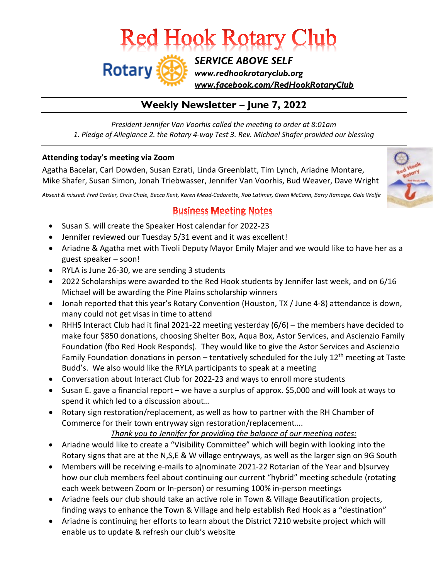# **Red Hook Rotary Club**

**Rotary** *SERVICE ABOVE SELF [www.redhookrotaryclub.org](http://www.redhookrotaryclub.org/) [www.facebook.com/RedHookRotaryClub](http://www.facebook.com/RedHookRotaryClub)*

# **Weekly Newsletter – June 7, 2022**

*President Jennifer Van Voorhis called the meeting to order at 8:01am 1. Pledge of Allegiance 2. the Rotary 4-way Test 3. Rev. Michael Shafer provided our blessing*

#### **Attending today's meeting via Zoom**

Agatha Bacelar, Carl Dowden, Susan Ezrati, Linda Greenblatt, Tim Lynch, Ariadne Montare, Mike Shafer, Susan Simon, Jonah Triebwasser, Jennifer Van Voorhis, Bud Weaver, Dave Wright

Absent & missed: Fred Cartier, Chris Chale, Becca Kent, Karen Mead-Cadorette, Rob Latimer, Gwen McCann, Barry Ramage, Gale Wolfe



# **Business Meeting Notes**

- Susan S. will create the Speaker Host calendar for 2022-23
- Jennifer reviewed our Tuesday 5/31 event and it was excellent!
- Ariadne & Agatha met with Tivoli Deputy Mayor Emily Majer and we would like to have her as a guest speaker – soon!
- RYLA is June 26-30, we are sending 3 students
- 2022 Scholarships were awarded to the Red Hook students by Jennifer last week, and on 6/16 Michael will be awarding the Pine Plains scholarship winners
- Jonah reported that this year's Rotary Convention (Houston, TX / June 4-8) attendance is down, many could not get visas in time to attend
- RHHS Interact Club had it final 2021-22 meeting yesterday (6/6) the members have decided to make four \$850 donations, choosing Shelter Box, Aqua Box, Astor Services, and Ascienzio Family Foundation (fbo Red Hook Responds)*.* They would like to give the Astor Services and Ascienzio Family Foundation donations in person – tentatively scheduled for the July 12<sup>th</sup> meeting at Taste Budd's. We also would like the RYLA participants to speak at a meeting
- Conversation about Interact Club for 2022-23 and ways to enroll more students
- Susan E. gave a financial report we have a surplus of approx. \$5,000 and will look at ways to spend it which led to a discussion about…
- Rotary sign restoration/replacement, as well as how to partner with the RH Chamber of Commerce for their town entryway sign restoration/replacement….

#### *Thank you to Jennifer for providing the balance of our meeting notes:*

- Ariadne would like to create a "Visibility Committee" which will begin with looking into the Rotary signs that are at the N,S,E & W village entryways, as well as the larger sign on 9G South
- Members will be receiving e-mails to a)nominate 2021-22 Rotarian of the Year and b)survey how our club members feel about continuing our current "hybrid" meeting schedule (rotating each week between Zoom or In-person) or resuming 100% in-person meetings
- Ariadne feels our club should take an active role in Town & Village Beautification projects, finding ways to enhance the Town & Village and help establish Red Hook as a "destination"
- Ariadne is continuing her efforts to learn about the District 7210 website project which will enable us to update & refresh our club's website